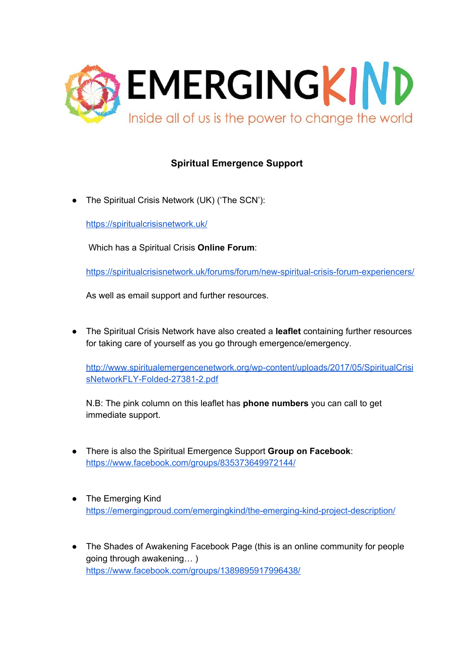

## **Spiritual Emergence Support**

The Spiritual Crisis Network (UK) ('The SCN'):

<https://spiritualcrisisnetwork.uk/>

Which has a Spiritual Crisis **Online Forum**:

<https://spiritualcrisisnetwork.uk/forums/forum/new-spiritual-crisis-forum-experiencers/>

As well as email support and further resources.

● The Spiritual Crisis Network have also created a **leaflet** containing further resources for taking care of yourself as you go through emergence/emergency.

[http://www.spiritualemergencenetwork.org/wp-content/uploads/2017/05/SpiritualCrisi](http://www.spiritualemergencenetwork.org/wp-content/uploads/2017/05/SpiritualCrisisNetworkFLY-Folded-27381-2.pdf) [sNetworkFLY-Folded-27381-2.pdf](http://www.spiritualemergencenetwork.org/wp-content/uploads/2017/05/SpiritualCrisisNetworkFLY-Folded-27381-2.pdf)

N.B: The pink column on this leaflet has **phone numbers** you can call to get immediate support.

- There is also the Spiritual Emergence Support **Group on Facebook**: <https://www.facebook.com/groups/835373649972144/>
- The Emerging Kind <https://emergingproud.com/emergingkind/the-emerging-kind-project-description/>
- The Shades of Awakening Facebook Page (this is an online community for people going through awakening… ) <https://www.facebook.com/groups/1389895917996438/>